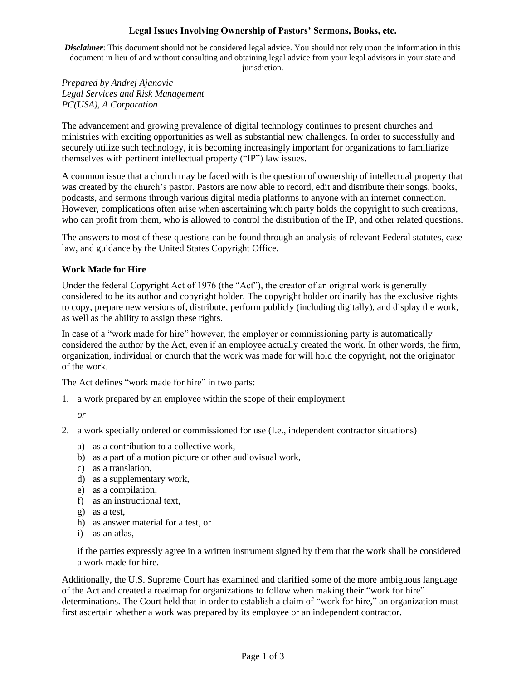# **Legal Issues Involving Ownership of Pastors' Sermons, Books, etc.**

*Disclaimer*: This document should not be considered legal advice. You should not rely upon the information in this document in lieu of and without consulting and obtaining legal advice from your legal advisors in your state and jurisdiction.

*Prepared by Andrej Ajanovic Legal Services and Risk Management PC(USA), A Corporation*

The advancement and growing prevalence of digital technology continues to present churches and ministries with exciting opportunities as well as substantial new challenges. In order to successfully and securely utilize such technology, it is becoming increasingly important for organizations to familiarize themselves with pertinent intellectual property ("IP") law issues.

A common issue that a church may be faced with is the question of ownership of intellectual property that was created by the church's pastor. Pastors are now able to record, edit and distribute their songs, books, podcasts, and sermons through various digital media platforms to anyone with an internet connection. However, complications often arise when ascertaining which party holds the copyright to such creations, who can profit from them, who is allowed to control the distribution of the IP, and other related questions.

The answers to most of these questions can be found through an analysis of relevant Federal statutes, case law, and guidance by the United States Copyright Office.

# **Work Made for Hire**

Under the federal Copyright Act of 1976 (the "Act"), the creator of an original work is generally considered to be its author and copyright holder. The copyright holder ordinarily has the exclusive rights to copy, prepare new versions of, distribute, perform publicly (including digitally), and display the work, as well as the ability to assign these rights.

In case of a "work made for hire" however, the employer or commissioning party is automatically considered the author by the Act, even if an employee actually created the work. In other words, the firm, organization, individual or church that the work was made for will hold the copyright, not the originator of the work.

The Act defines "work made for hire" in two parts:

1. a work prepared by an employee within the scope of their employment

*or*

- 2. a work specially ordered or commissioned for use (I.e., independent contractor situations)
	- a) as a contribution to a collective work,
	- b) as a part of a motion picture or other audiovisual work,
	- c) as a translation,
	- d) as a supplementary work,
	- e) as a compilation,
	- f) as an instructional text,
	- g) as a test,
	- h) as answer material for a test, or
	- i) as an atlas,

if the parties expressly agree in a written instrument signed by them that the work shall be considered a work made for hire.

Additionally, the U.S. Supreme Court has examined and clarified some of the more ambiguous language of the Act and created a roadmap for organizations to follow when making their "work for hire" determinations. The Court held that in order to establish a claim of "work for hire," an organization must first ascertain whether a work was prepared by its employee or an independent contractor.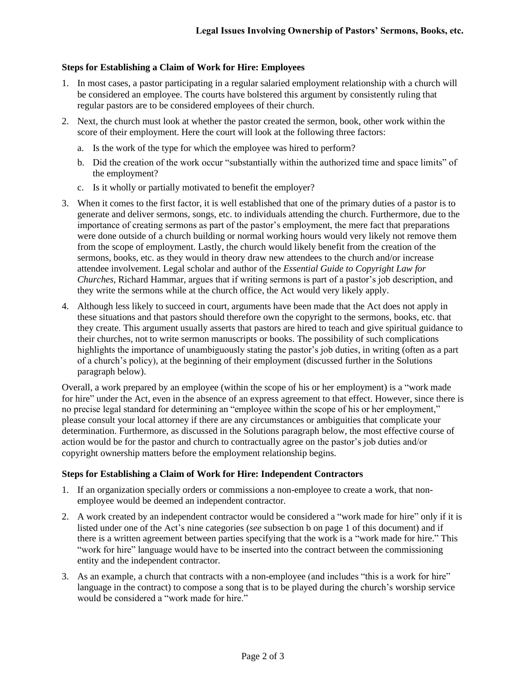## **Steps for Establishing a Claim of Work for Hire: Employees**

- 1. In most cases, a pastor participating in a regular salaried employment relationship with a church will be considered an employee. The courts have bolstered this argument by consistently ruling that regular pastors are to be considered employees of their church.
- 2. Next, the church must look at whether the pastor created the sermon, book, other work within the score of their employment. Here the court will look at the following three factors:
	- a. Is the work of the type for which the employee was hired to perform?
	- b. Did the creation of the work occur "substantially within the authorized time and space limits" of the employment?
	- c. Is it wholly or partially motivated to benefit the employer?
- 3. When it comes to the first factor, it is well established that one of the primary duties of a pastor is to generate and deliver sermons, songs, etc. to individuals attending the church. Furthermore, due to the importance of creating sermons as part of the pastor's employment, the mere fact that preparations were done outside of a church building or normal working hours would very likely not remove them from the scope of employment. Lastly, the church would likely benefit from the creation of the sermons, books, etc. as they would in theory draw new attendees to the church and/or increase attendee involvement. Legal scholar and author of the *Essential Guide to Copyright Law for Churches,* Richard Hammar, argues that if writing sermons is part of a pastor's job description, and they write the sermons while at the church office, the Act would very likely apply.
- 4. Although less likely to succeed in court, arguments have been made that the Act does not apply in these situations and that pastors should therefore own the copyright to the sermons, books, etc. that they create. This argument usually asserts that pastors are hired to teach and give spiritual guidance to their churches, not to write sermon manuscripts or books. The possibility of such complications highlights the importance of unambiguously stating the pastor's job duties, in writing (often as a part of a church's policy), at the beginning of their employment (discussed further in the Solutions paragraph below).

Overall, a work prepared by an employee (within the scope of his or her employment) is a "work made for hire" under the Act, even in the absence of an express agreement to that effect. However, since there is no precise legal standard for determining an "employee within the scope of his or her employment," please consult your local attorney if there are any circumstances or ambiguities that complicate your determination. Furthermore, as discussed in the Solutions paragraph below, the most effective course of action would be for the pastor and church to contractually agree on the pastor's job duties and/or copyright ownership matters before the employment relationship begins.

#### **Steps for Establishing a Claim of Work for Hire: Independent Contractors**

- 1. If an organization specially orders or commissions a non-employee to create a work, that nonemployee would be deemed an independent contractor.
- 2. A work created by an independent contractor would be considered a "work made for hire" only if it is listed under one of the Act's nine categories (*see* subsection b on page 1 of this document) and if there is a written agreement between parties specifying that the work is a "work made for hire." This "work for hire" language would have to be inserted into the contract between the commissioning entity and the independent contractor.
- 3. As an example, a church that contracts with a non-employee (and includes "this is a work for hire" language in the contract) to compose a song that is to be played during the church's worship service would be considered a "work made for hire."